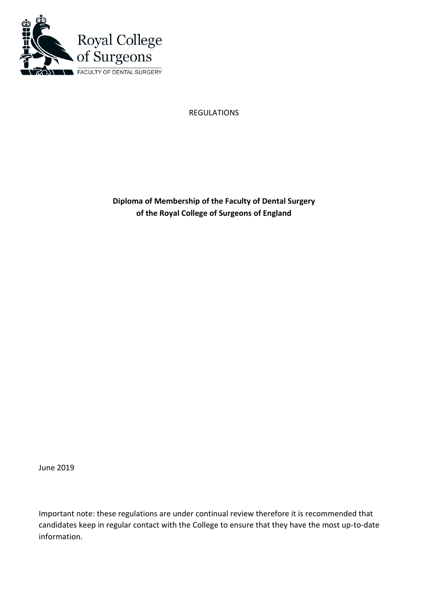

REGULATIONS

**Diploma of Membership of the Faculty of Dental Surgery of the Royal College of Surgeons of England**

June 2019

Important note: these regulations are under continual review therefore it is recommended that candidates keep in regular contact with the College to ensure that they have the most up-to-date information.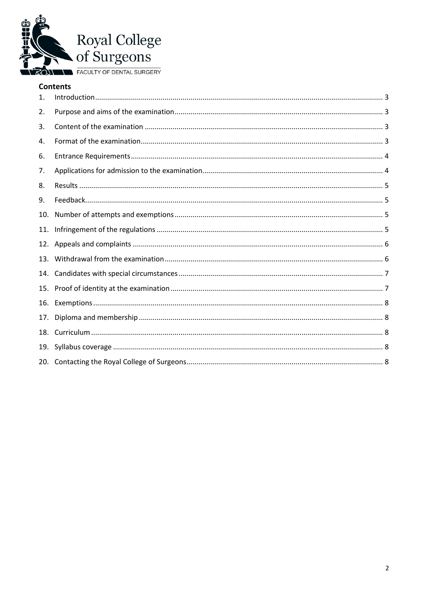

## **Contents**

| 1.  |  |
|-----|--|
| 2.  |  |
| 3.  |  |
| 4.  |  |
| 6.  |  |
| 7.  |  |
| 8.  |  |
| 9.  |  |
| 10. |  |
| 11. |  |
| 12. |  |
| 13. |  |
| 14. |  |
| 15. |  |
| 16. |  |
| 17. |  |
|     |  |
|     |  |
|     |  |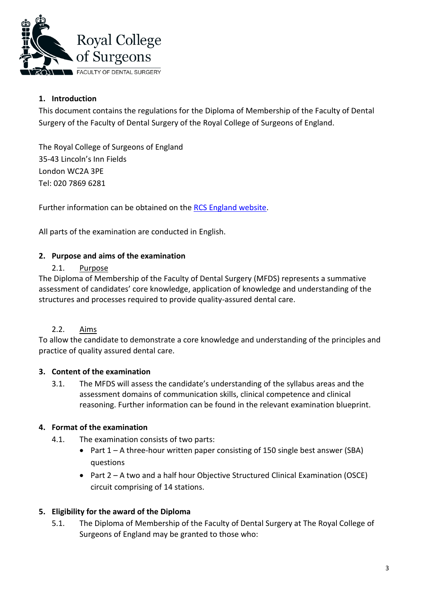

# <span id="page-2-0"></span>**1. Introduction**

This document contains the regulations for the Diploma of Membership of the Faculty of Dental Surgery of the Faculty of Dental Surgery of the Royal College of Surgeons of England.

The Royal College of Surgeons of England 35-43 Lincoln's Inn Fields London WC2A 3PE Tel: 020 7869 6281

Further information can be obtained on the [RCS England website.](http://www.rcseng.ac.uk/education-and-exams/exams/search/membership-of-the-faculty-of-dental-surgery)

All parts of the examination are conducted in English.

## <span id="page-2-1"></span>**2. Purpose and aims of the examination**

## 2.1. Purpose

The Diploma of Membership of the Faculty of Dental Surgery (MFDS) represents a summative assessment of candidates' core knowledge, application of knowledge and understanding of the structures and processes required to provide quality-assured dental care.

## 2.2. Aims

To allow the candidate to demonstrate a core knowledge and understanding of the principles and practice of quality assured dental care.

## <span id="page-2-2"></span>**3. Content of the examination**

3.1. The MFDS will assess the candidate's understanding of the syllabus areas and the assessment domains of communication skills, clinical competence and clinical reasoning. Further information can be found in the relevant examination blueprint.

## <span id="page-2-3"></span>**4. Format of the examination**

- 4.1. The examination consists of two parts:
	- Part 1 A three-hour written paper consisting of 150 single best answer (SBA) questions
	- Part 2 A two and a half hour Objective Structured Clinical Examination (OSCE) circuit comprising of 14 stations.

## **5. Eligibility for the award of the Diploma**

5.1. The Diploma of Membership of the Faculty of Dental Surgery at The Royal College of Surgeons of England may be granted to those who: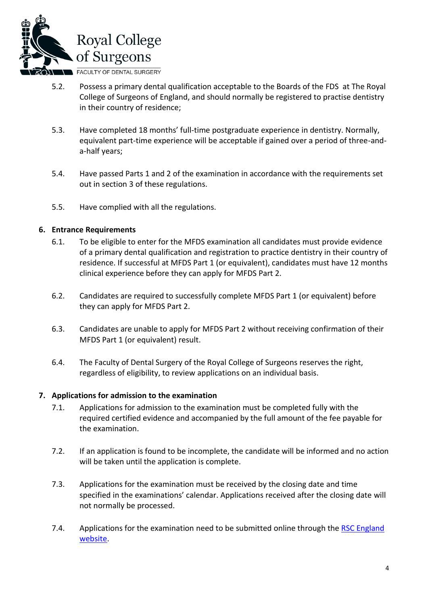

- 5.2. Possess a primary dental qualification acceptable to the Boards of the FDS at The Royal College of Surgeons of England, and should normally be registered to practise dentistry in their country of residence;
- 5.3. Have completed 18 months' full-time postgraduate experience in dentistry. Normally, equivalent part-time experience will be acceptable if gained over a period of three-anda-half years;
- 5.4. Have passed Parts 1 and 2 of the examination in accordance with the requirements set out in section 3 of these regulations.
- 5.5. Have complied with all the regulations.

### <span id="page-3-0"></span>**6. Entrance Requirements**

- 6.1. To be eligible to enter for the MFDS examination all candidates must provide evidence of a primary dental qualification and registration to practice dentistry in their country of residence. If successful at MFDS Part 1 (or equivalent), candidates must have 12 months clinical experience before they can apply for MFDS Part 2.
- 6.2. Candidates are required to successfully complete MFDS Part 1 (or equivalent) before they can apply for MFDS Part 2.
- 6.3. Candidates are unable to apply for MFDS Part 2 without receiving confirmation of their MFDS Part 1 (or equivalent) result.
- 6.4. The Faculty of Dental Surgery of the Royal College of Surgeons reserves the right, regardless of eligibility, to review applications on an individual basis.

#### <span id="page-3-1"></span>**7. Applications for admission to the examination**

- 7.1. Applications for admission to the examination must be completed fully with the required certified evidence and accompanied by the full amount of the fee payable for the examination.
- 7.2. If an application is found to be incomplete, the candidate will be informed and no action will be taken until the application is complete.
- 7.3. Applications for the examination must be received by the closing date and time specified in the examinations' calendar. Applications received after the closing date will not normally be processed.
- 7.4. Applications for the examination need to be submitted online through the RSC England [website.](http://www.rcseng.ac.uk/education-and-exams/exams/search/membership-of-the-faculty-of-dental-surgery)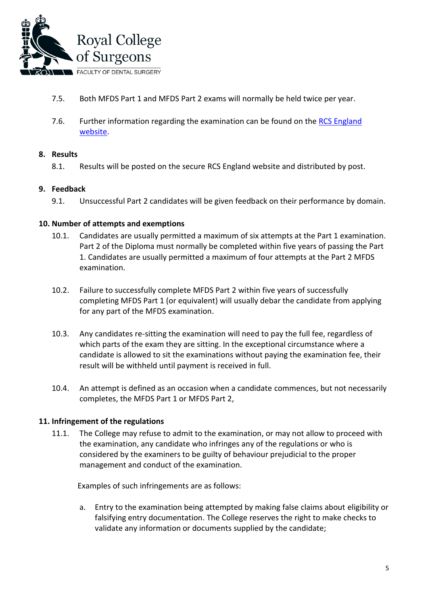

- 7.5. Both MFDS Part 1 and MFDS Part 2 exams will normally be held twice per year.
- 7.6. Further information regarding the examination can be found on the [RCS England](http://www.rcseng.ac.uk/education-and-exams/exams/search/membership-of-the-faculty-of-dental-surgery) [website.](http://www.rcseng.ac.uk/education-and-exams/exams/search/membership-of-the-faculty-of-dental-surgery)

## <span id="page-4-0"></span>**8. Results**

8.1. Results will be posted on the secure RCS England website and distributed by post.

### <span id="page-4-1"></span>**9. Feedback**

9.1. Unsuccessful Part 2 candidates will be given feedback on their performance by domain.

### <span id="page-4-2"></span>**10. Number of attempts and exemptions**

- 10.1. Candidates are usually permitted a maximum of six attempts at the Part 1 examination. Part 2 of the Diploma must normally be completed within five years of passing the Part 1. Candidates are usually permitted a maximum of four attempts at the Part 2 MFDS examination.
- 10.2. Failure to successfully complete MFDS Part 2 within five years of successfully completing MFDS Part 1 (or equivalent) will usually debar the candidate from applying for any part of the MFDS examination.
- 10.3. Any candidates re-sitting the examination will need to pay the full fee, regardless of which parts of the exam they are sitting. In the exceptional circumstance where a candidate is allowed to sit the examinations without paying the examination fee, their result will be withheld until payment is received in full.
- 10.4. An attempt is defined as an occasion when a candidate commences, but not necessarily completes, the MFDS Part 1 or MFDS Part 2,

## <span id="page-4-3"></span>**11. Infringement of the regulations**

11.1. The College may refuse to admit to the examination, or may not allow to proceed with the examination, any candidate who infringes any of the regulations or who is considered by the examiners to be guilty of behaviour prejudicial to the proper management and conduct of the examination.

Examples of such infringements are as follows:

a. Entry to the examination being attempted by making false claims about eligibility or falsifying entry documentation. The College reserves the right to make checks to validate any information or documents supplied by the candidate;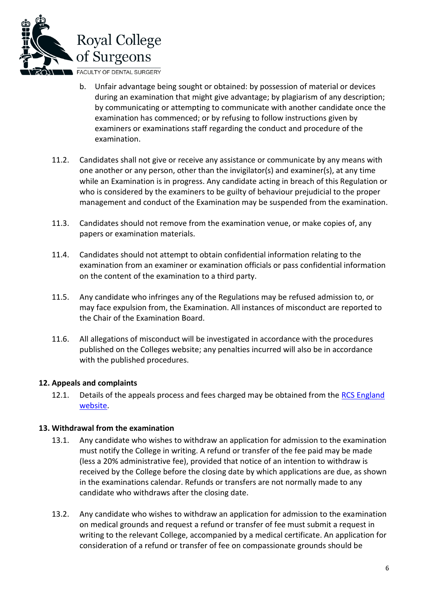

- b. Unfair advantage being sought or obtained: by possession of material or devices during an examination that might give advantage; by plagiarism of any description; by communicating or attempting to communicate with another candidate once the examination has commenced; or by refusing to follow instructions given by examiners or examinations staff regarding the conduct and procedure of the examination.
- 11.2. Candidates shall not give or receive any assistance or communicate by any means with one another or any person, other than the invigilator(s) and examiner(s), at any time while an Examination is in progress. Any candidate acting in breach of this Regulation or who is considered by the examiners to be guilty of behaviour prejudicial to the proper management and conduct of the Examination may be suspended from the examination.
- 11.3. Candidates should not remove from the examination venue, or make copies of, any papers or examination materials.
- 11.4. Candidates should not attempt to obtain confidential information relating to the examination from an examiner or examination officials or pass confidential information on the content of the examination to a third party.
- 11.5. Any candidate who infringes any of the Regulations may be refused admission to, or may face expulsion from, the Examination. All instances of misconduct are reported to the Chair of the Examination Board.
- 11.6. All allegations of misconduct will be investigated in accordance with the procedures published on the Colleges website; any penalties incurred will also be in accordance with the published procedures.

## <span id="page-5-0"></span>**12. Appeals and complaints**

12.1. Details of the appeals process and fees charged may be obtained from the RCS [England](http://www.rcseng.ac.uk/education-and-exams/exams/search/membership-of-the-faculty-of-dental-surgery) [website.](http://www.rcseng.ac.uk/education-and-exams/exams/search/membership-of-the-faculty-of-dental-surgery)

## <span id="page-5-1"></span>**13. Withdrawal from the examination**

- 13.1. Any candidate who wishes to withdraw an application for admission to the examination must notify the College in writing. A refund or transfer of the fee paid may be made (less a 20% administrative fee), provided that notice of an intention to withdraw is received by the College before the closing date by which applications are due, as shown in the examinations calendar. Refunds or transfers are not normally made to any candidate who withdraws after the closing date.
- 13.2. Any candidate who wishes to withdraw an application for admission to the examination on medical grounds and request a refund or transfer of fee must submit a request in writing to the relevant College, accompanied by a medical certificate. An application for consideration of a refund or transfer of fee on compassionate grounds should be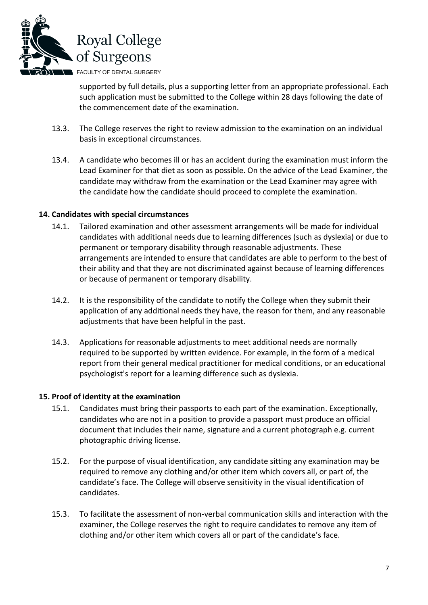

supported by full details, plus a supporting letter from an appropriate professional. Each such application must be submitted to the College within 28 days following the date of the commencement date of the examination.

- 13.3. The College reserves the right to review admission to the examination on an individual basis in exceptional circumstances.
- 13.4. A candidate who becomes ill or has an accident during the examination must inform the Lead Examiner for that diet as soon as possible. On the advice of the Lead Examiner, the candidate may withdraw from the examination or the Lead Examiner may agree with the candidate how the candidate should proceed to complete the examination.

### <span id="page-6-0"></span>**14. Candidates with special circumstances**

- 14.1. Tailored examination and other assessment arrangements will be made for individual candidates with additional needs due to learning differences (such as dyslexia) or due to permanent or temporary disability through reasonable adjustments. These arrangements are intended to ensure that candidates are able to perform to the best of their ability and that they are not discriminated against because of learning differences or because of permanent or temporary disability.
- 14.2. It is the responsibility of the candidate to notify the College when they submit their application of any additional needs they have, the reason for them, and any reasonable adjustments that have been helpful in the past.
- 14.3. Applications for reasonable adjustments to meet additional needs are normally required to be supported by written evidence. For example, in the form of a medical report from their general medical practitioner for medical conditions, or an educational psychologist's report for a learning difference such as dyslexia.

#### <span id="page-6-1"></span>**15. Proof of identity at the examination**

- 15.1. Candidates must bring their passports to each part of the examination. Exceptionally, candidates who are not in a position to provide a passport must produce an official document that includes their name, signature and a current photograph e.g. current photographic driving license.
- 15.2. For the purpose of visual identification, any candidate sitting any examination may be required to remove any clothing and/or other item which covers all, or part of, the candidate's face. The College will observe sensitivity in the visual identification of candidates.
- 15.3. To facilitate the assessment of non-verbal communication skills and interaction with the examiner, the College reserves the right to require candidates to remove any item of clothing and/or other item which covers all or part of the candidate's face.